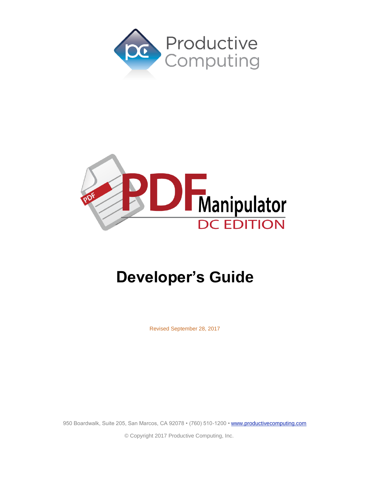



# **Developer's Guide**

Revised September 28, 2017

950 Boardwalk, Suite 205, San Marcos, CA 92078 • (760) 510-1200 • [www.productivecomputing.com](http://www.productivecomputing.com/)

© Copyright 2017 Productive Computing, Inc.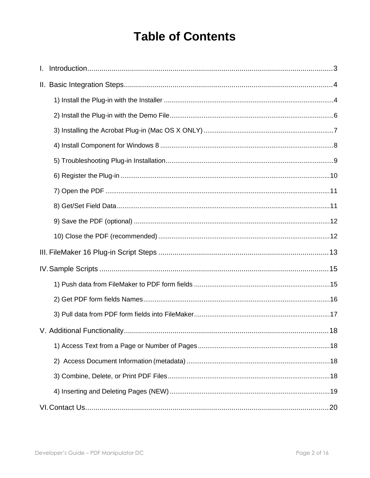# **Table of Contents**

| $\mathbf{L}$ |  |  |
|--------------|--|--|
|              |  |  |
|              |  |  |
|              |  |  |
|              |  |  |
|              |  |  |
|              |  |  |
|              |  |  |
|              |  |  |
|              |  |  |
|              |  |  |
|              |  |  |
|              |  |  |
|              |  |  |
|              |  |  |
|              |  |  |
|              |  |  |
|              |  |  |
|              |  |  |
|              |  |  |
|              |  |  |
|              |  |  |
|              |  |  |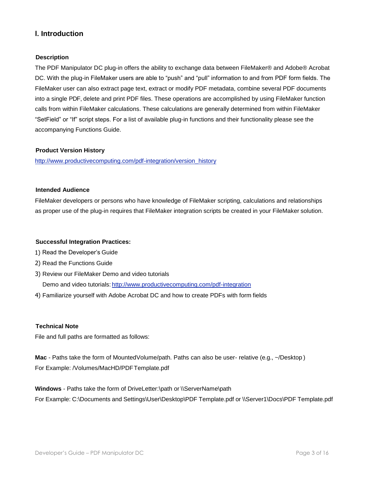# <span id="page-2-0"></span>**I. Introduction**

#### **Description**

The PDF Manipulator DC plug-in offers the ability to exchange data between FileMaker® and Adobe® Acrobat DC. With the plug-in FileMaker users are able to "push" and "pull" information to and from PDF form fields. The FileMaker user can also extract page text, extract or modify PDF metadata, combine several PDF documents into a single PDF, delete and print PDF files. These operations are accomplished by using FileMaker function calls from within FileMaker calculations. These calculations are generally determined from within FileMaker "SetField" or "If" script steps. For a list of available plug-in functions and their functionality please see the accompanying Functions Guide.

#### **Product Version History**

[http://www.productivecomputing.com/pdf-integration/version\\_history](http://www.productivecomputing.com/pdf-integration/version_history)

#### **Intended Audience**

FileMaker developers or persons who have knowledge of FileMaker scripting, calculations and relationships as proper use of the plug-in requires that FileMaker integration scripts be created in your FileMaker solution.

#### **Successful Integration Practices:**

- 1) Read the Developer's Guide
- 2) Read the Functions Guide
- 3) Review our FileMaker Demo and video tutorials

Demo and video tutorials: <http://www.productivecomputing.com/pdf-integration>

4) Familiarize yourself with Adobe Acrobat DC and how to create PDFs with form fields

#### **Technical Note**

File and full paths are formatted as follows:

**Mac** - Paths take the form of MountedVolume/path. Paths can also be user- relative (e.g., ~/Desktop ) For Example: /Volumes/MacHD/PDFTemplate.pdf

**Windows** - Paths take the form of DriveLetter:\path or \\ServerName\path For Example: C:\Documents and Settings\User\Desktop\PDF Template.pdf or \\Server1\Docs\PDF Template.pdf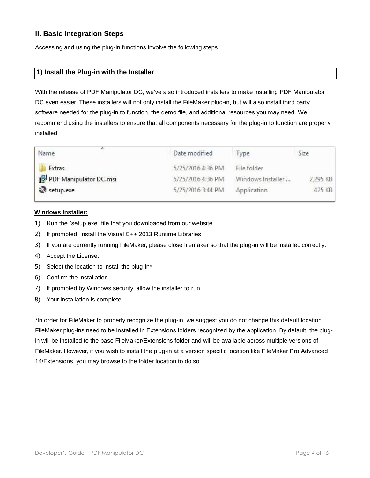# <span id="page-3-0"></span>**II. Basic Integration Steps**

Accessing and using the plug-in functions involve the following steps.

# <span id="page-3-1"></span>**1) Install the Plug-in with the Installer**

With the release of PDF Manipulator DC, we've also introduced installers to make installing PDF Manipulator DC even easier. These installers will not only install the FileMaker plug-in, but will also install third party software needed for the plug-in to function, the demo file, and additional resources you may need. We recommend using the installers to ensure that all components necessary for the plug-in to function are properly installed.

| Name                   | Date modified     | ype               | Size     |
|------------------------|-------------------|-------------------|----------|
| Extras                 | 5/25/2016 4:36 PM | File folder       |          |
| PDF Manipulator DC.msi | 5/25/2016 4:36 PM | Windows Installer | 2,295 KB |
| setup.exe              | 5/25/2016 3:44 PM | Application       | 425 KB   |

#### **Windows Installer:**

- 1) Run the "setup.exe" file that you downloaded from our website.
- 2) If prompted, install the Visual C++ 2013 Runtime Libraries.
- 3) If you are currently running FileMaker, please close filemaker so that the plug-in will be installed correctly.
- 4) Accept the License.
- 5) Select the location to install the plug-in\*
- 6) Confirm the installation.
- 7) If prompted by Windows security, allow the installer to run.
- 8) Your installation is complete!

\*In order for FileMaker to properly recognize the plug-in, we suggest you do not change this default location. FileMaker plug-ins need to be installed in Extensions folders recognized by the application. By default, the plugin will be installed to the base FileMaker/Extensions folder and will be available across multiple versions of FileMaker. However, if you wish to install the plug-in at a version specific location like FileMaker Pro Advanced 14/Extensions, you may browse to the folder location to do so.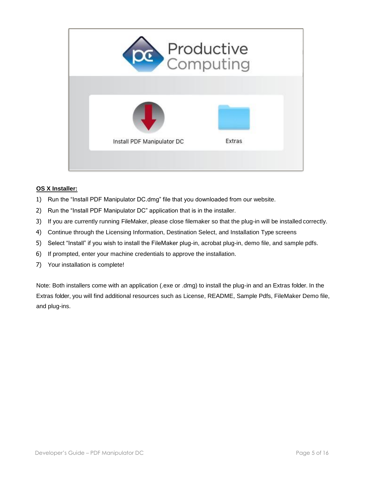

#### **OS X Installer:**

- 1) Run the "Install PDF Manipulator DC.dmg" file that you downloaded from our website.
- 2) Run the "Install PDF Manipulator DC" application that is in the installer.
- 3) If you are currently running FileMaker, please close filemaker so that the plug-in will be installed correctly.
- 4) Continue through the Licensing Information, Destination Select, and Installation Type screens
- 5) Select "Install" if you wish to install the FileMaker plug-in, acrobat plug-in, demo file, and sample pdfs.
- 6) If prompted, enter your machine credentials to approve the installation.
- 7) Your installation is complete!

Note: Both installers come with an application (.exe or .dmg) to install the plug-in and an Extras folder. In the Extras folder, you will find additional resources such as License, README, Sample Pdfs, FileMaker Demo file, and plug-ins.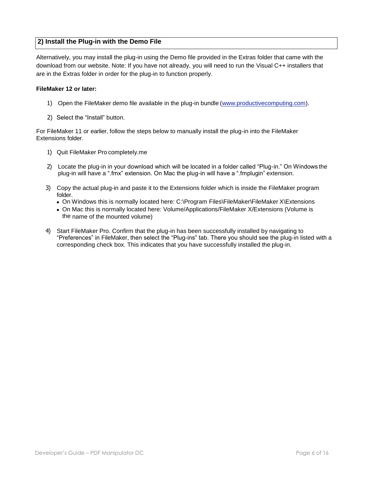# <span id="page-5-0"></span>**2) Install the Plug-in with the Demo File**

Alternatively, you may install the plug-in using the Demo file provided in the Extras folder that came with the download from our website. Note: If you have not already, you will need to run the Visual C++ installers that are in the Extras folder in order for the plug-in to function properly.

#### **FileMaker 12 or later:**

- 1) Open the FileMaker demo file available in the plug-in bundle (www.productivecomputing.com).
- 2) Select the "Install" button.

For FileMaker 11 or earlier, follow the steps below to manually install the plug-in into the FileMaker Extensions folder.

- 1) Quit FileMaker Pro completely.me
- 2) Locate the plug-in in your download which will be located in a folder called "Plug-in." On Windows the plug-in will have a ".fmx" extension. On Mac the plug-in will have a ".fmplugin" extension.
- 3) Copy the actual plug-in and paste it to the Extensions folder which is inside the FileMaker program folder.
	- On Windows this is normally located here: C:\Program Files\FileMaker\FileMaker X\Extensions
	- On Mac this is normally located here: Volume/Applications/FileMaker X/Extensions (Volume is the name of the mounted volume)
- 4) Start FileMaker Pro. Confirm that the plug-in has been successfully installed by navigating to "Preferences" in FileMaker, then select the "Plug-ins" tab. There you should see the plug-in listed with a corresponding check box. This indicates that you have successfully installed the plug-in.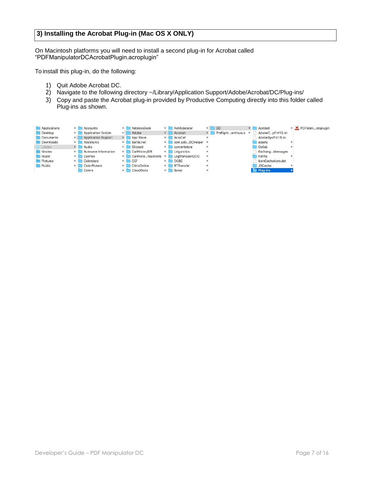# <span id="page-6-0"></span>**3) Installing the Acrobat Plug-in (Mac OS X ONLY)**

On Macintosh platforms you will need to install a second plug-in for Acrobat called "PDFManipulatorDCAcrobatPlugin.acroplugin"

To install this plug-in, do the following:

- 1) Quit Adobe Acrobat DC.
- 2) Navigate to the following directory ~/Library/Application Support/Adobe/Acrobat/DC/Plug-ins/
- 3) Copy and paste the Acrobat plug-in provided by Productive Computing directly into this folder called Plug-ins as shown.

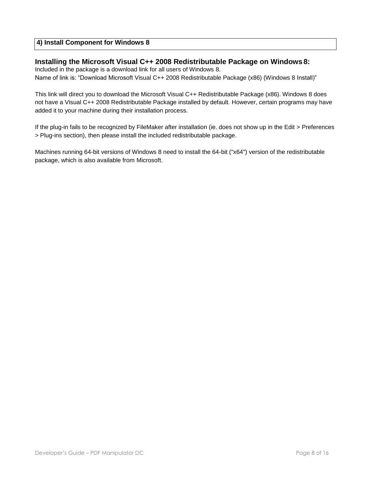# <span id="page-7-0"></span>**4) Install Component for Windows 8**

#### **Installing the Microsoft Visual C++ 2008 Redistributable Package on Windows 8:**

Included in the package is a download link for all users of Windows 8. Name of link is: "Download Microsoft Visual C++ 2008 Redistributable Package (x86) (Windows 8 Install)"

This link will direct you to download the Microsoft Visual C++ Redistributable Package (x86). Windows 8 does not have a Visual C++ 2008 Redistributable Package installed by default. However, certain programs may have added it to your machine during their installation process.

If the plug-in fails to be recognized by FileMaker after installation (ie. does not show up in the Edit > Preferences > Plug-ins section), then please install the included redistributable package.

Machines running 64-bit versions of Windows 8 need to install the 64-bit ("x64") version of the redistributable package, which is also available from Microsoft.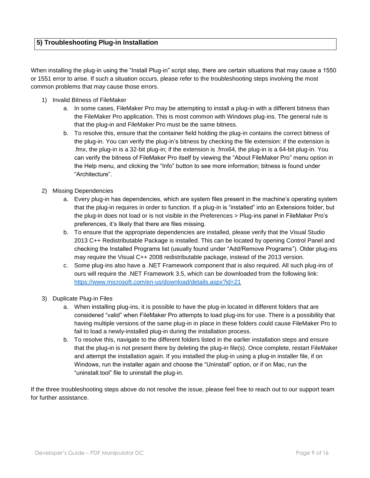<span id="page-8-0"></span>When installing the plug-in using the "Install Plug-in" script step, there are certain situations that may cause a 1550 or 1551 error to arise. If such a situation occurs, please refer to the troubleshooting steps involving the most common problems that may cause those errors.

- 1) Invalid Bitness of FileMaker
	- a. In some cases, FileMaker Pro may be attempting to install a plug-in with a different bitness than the FileMaker Pro application. This is most common with Windows plug-ins. The general rule is that the plug-in and FileMaker Pro must be the same bitness.
	- b. To resolve this, ensure that the container field holding the plug-in contains the correct bitness of the plug-in. You can verify the plug-in's bitness by checking the file extension: if the extension is .fmx, the plug-in is a 32-bit plug-in; if the extension is .fmx64, the plug-in is a 64-bit plug-in. You can verify the bitness of FileMaker Pro itself by viewing the "About FileMaker Pro" menu option in the Help menu, and clicking the "Info" button to see more information; bitness is found under "Architecture".
- 2) Missing Dependencies
	- a. Every plug-in has dependencies, which are system files present in the machine's operating system that the plug-in requires in order to function. If a plug-in is "installed" into an Extensions folder, but the plug-in does not load or is not visible in the Preferences > Plug-ins panel in FileMaker Pro's preferences, it's likely that there are files missing.
	- b. To ensure that the appropriate dependencies are installed, please verify that the Visual Studio 2013 C++ Redistributable Package is installed. This can be located by opening Control Panel and checking the Installed Programs list (usually found under "Add/Remove Programs"). Older plug-ins may require the Visual C++ 2008 redistributable package, instead of the 2013 version.
	- c. Some plug-ins also have a .NET Framework component that is also required. All such plug-ins of ours will require the .NET Framework 3.5, which can be downloaded from the following link: <https://www.microsoft.com/en-us/download/details.aspx?id=21>
- 3) Duplicate Plug-in Files
	- a. When installing plug-ins, it is possible to have the plug-in located in different folders that are considered "valid" when FileMaker Pro attempts to load plug-ins for use. There is a possibility that having multiple versions of the same plug-in in place in these folders could cause FileMaker Pro to fail to load a newly-installed plug-in during the installation process.
	- b. To resolve this, navigate to the different folders listed in the earlier installation steps and ensure that the plug-in is not present there by deleting the plug-in file(s). Once complete, restart FileMaker and attempt the installation again. If you installed the plug-in using a plug-in installer file, if on Windows, run the installer again and choose the "Uninstall" option, or if on Mac, run the "uninstall.tool" file to uninstall the plug-in.

If the three troubleshooting steps above do not resolve the issue, please feel free to reach out to our support team for further assistance.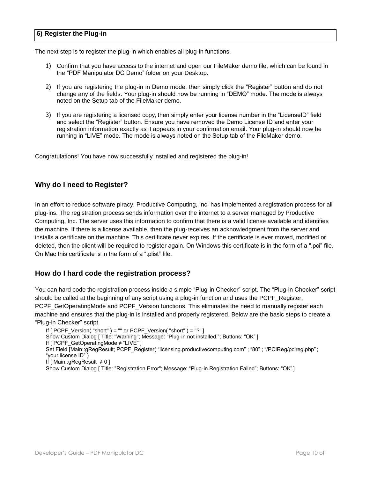#### <span id="page-9-0"></span>**6) Register the Plug-in**

The next step is to register the plug-in which enables all plug-in functions.

- 1) Confirm that you have access to the internet and open our FileMaker demo file, which can be found in the "PDF Manipulator DC Demo" folder on your Desktop.
- 2) If you are registering the plug-in in Demo mode, then simply click the "Register" button and do not change any of the fields. Your plug-in should now be running in "DEMO" mode. The mode is always noted on the Setup tab of the FileMaker demo.
- 3) If you are registering a licensed copy, then simply enter your license number in the "LicenseID" field and select the "Register" button. Ensure you have removed the Demo License ID and enter your registration information exactly as it appears in your confirmation email. Your plug-in should now be running in "LIVE" mode. The mode is always noted on the Setup tab of the FileMaker demo.

Congratulations! You have now successfully installed and registered the plug-in!

#### **Why do I need to Register?**

In an effort to reduce software piracy, Productive Computing, Inc. has implemented a registration process for all plug-ins. The registration process sends information over the internet to a server managed by Productive Computing, Inc. The server uses this information to confirm that there is a valid license available and identifies the machine. If there is a license available, then the plug-receives an acknowledgment from the server and installs a certificate on the machine. This certificate never expires. If the certificate is ever moved, modified or deleted, then the client will be required to register again. On Windows this certificate is in the form of a ".pci" file. On Mac this certificate is in the form of a ".plist" file.

#### **How do I hard code the registration process?**

You can hard code the registration process inside a simple "Plug-in Checker" script. The "Plug-in Checker" script should be called at the beginning of any script using a plug-in function and uses the PCPF\_Register, PCPF\_GetOperatingMode and PCPF\_Version functions. This eliminates the need to manually register each machine and ensures that the plug-in is installed and properly registered. Below are the basic steps to create a "Plug-in Checker" script.

If  $[PCPF\; Version('short") = "" or PCPF\; Version('short") = "?" ]$ Show Custom Dialog [ Title: "Warning"; Message: "Plug-in not installed."; Buttons: "OK" ] If [ PCPF\_GetOperatingMode ≠ "LIVE" ] Set Field [Main::gRegResult; PCPF\_Register( "licensing.productivecomputing.com" ; "80" ; "/PCIReg/pcireg.php" ; "your license ID" ) If  $[$  Main::gRegResult  $\neq 0$ ] Show Custom Dialog [ Title: "Registration Error"; Message: "Plug-in Registration Failed"; Buttons: "OK"]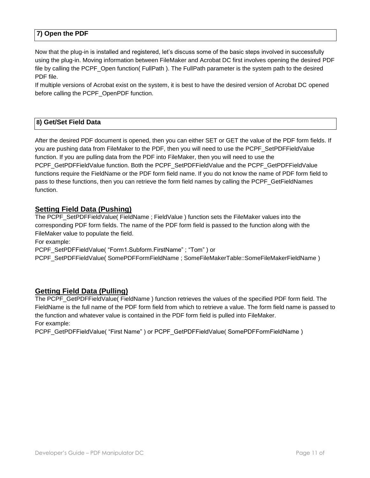# <span id="page-10-0"></span>**7) Open the PDF**

Now that the plug-in is installed and registered, let's discuss some of the basic steps involved in successfully using the plug-in. Moving information between FileMaker and Acrobat DC first involves opening the desired PDF file by calling the PCPF\_Open function( FullPath ). The FullPath parameter is the system path to the desired PDF file.

If multiple versions of Acrobat exist on the system, it is best to have the desired version of Acrobat DC opened before calling the PCPF\_OpenPDF function.

#### <span id="page-10-1"></span>**8) Get/Set Field Data**

After the desired PDF document is opened, then you can either SET or GET the value of the PDF form fields. If you are pushing data from FileMaker to the PDF, then you will need to use the PCPF\_SetPDFFieldValue function. If you are pulling data from the PDF into FileMaker, then you will need to use the PCPF\_GetPDFFieldValue function. Both the PCPF\_SetPDFFieldValue and the PCPF\_GetPDFFieldValue functions require the FieldName or the PDF form field name. If you do not know the name of PDF form field to pass to these functions, then you can retrieve the form field names by calling the PCPF\_GetFieldNames function.

#### **Setting Field Data (Pushing)**

The PCPF\_SetPDFFieldValue( FieldName ; FieldValue ) function sets the FileMaker values into the corresponding PDF form fields. The name of the PDF form field is passed to the function along with the FileMaker value to populate the field.

For example:

PCPF\_SetPDFFieldValue( "Form1.Subform.FirstName" ; "Tom" ) or

PCPF\_SetPDFFieldValue( SomePDFFormFieldName ; SomeFileMakerTable::SomeFileMakerFieldName )

# **Getting Field Data (Pulling)**

The PCPF\_GetPDFFieldValue( FieldName ) function retrieves the values of the specified PDF form field. The FieldName is the full name of the PDF form field from which to retrieve a value. The form field name is passed to the function and whatever value is contained in the PDF form field is pulled into FileMaker. For example:

PCPF\_GetPDFFieldValue( "First Name" ) or PCPF\_GetPDFFieldValue( SomePDFFormFieldName )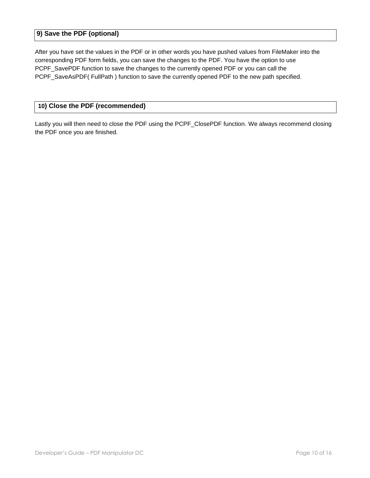# <span id="page-11-0"></span>**9) Save the PDF (optional)**

After you have set the values in the PDF or in other words you have pushed values from FileMaker into the corresponding PDF form fields, you can save the changes to the PDF. You have the option to use PCPF\_SavePDF function to save the changes to the currently opened PDF or you can call the PCPF\_SaveAsPDF( FullPath ) function to save the currently opened PDF to the new path specified.

#### <span id="page-11-1"></span> **10) Close the PDF (recommended)**

Lastly you will then need to close the PDF using the PCPF\_ClosePDF function. We always recommend closing the PDF once you are finished.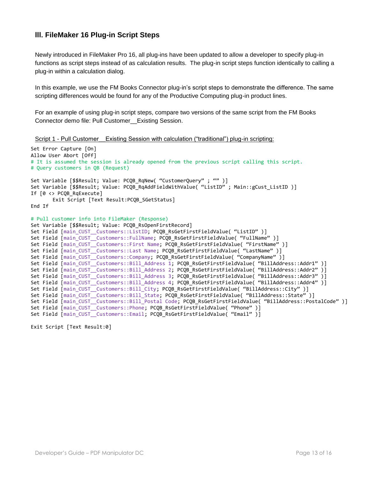# <span id="page-12-0"></span>**III. FileMaker 16 Plug-in Script Steps**

Newly introduced in FileMaker Pro 16, all plug-ins have been updated to allow a developer to specify plug-in functions as script steps instead of as calculation results. The plug-in script steps function identically to calling a plug-in within a calculation dialog.

In this example, we use the FM Books Connector plug-in's script steps to demonstrate the difference. The same scripting differences would be found for any of the Productive Computing plug-in product lines.

For an example of using plug-in script steps, compare two versions of the same script from the FM Books Connector demo file: Pull Customer\_\_Existing Session.

Script 1 - Pull Customer Existing Session with calculation ("traditional") plug-in scripting:

```
Set Error Capture [On]
Allow User Abort [Off]
# It is assumed the session is already opened from the previous script calling this script.
# Query customers in QB (Request)
Set Variable [$$Result; Value: PCOB RqNew( "CustomerQuery" ; "" )]
Set Variable [$$Result; Value: PCOB RqAddFieldWithValue( "ListID" ; Main::gCust ListID )]
If [0 \leftrightarrow PCQB RqExecute]
       Exit Script [Text Result:PCQB SGetStatus]
End If
# Pull customer info into FileMaker (Response)
Set Variable [$$Result; Value: PCQB_RsOpenFirstRecord]
Set Field [main_CUST__Customers::ListID; PCQB_RsGetFirstFieldValue( "ListID" )]
Set Field [main_CUST__Customers::FullName; PCQB_RsGetFirstFieldValue( "FullName" )]
Set Field [main_CUST__Customers::First Name; PCQB_RsGetFirstFieldValue( "FirstName" )]
Set Field [main_CUST__Customers::Last Name; PCQB_RsGetFirstFieldValue( "LastName" )]
Set Field [main_CUST__Customers::Company; PCQB_RsGetFirstFieldValue( "CompanyName" )]
Set Field [main CUST_Customers::Bill Address 1; PCQB RsGetFirstFieldValue( "BillAddress::Addr1" )]
Set Field [main_CUST__Customers::Bill_Address 2; PCQB_RsGetFirstFieldValue( "BillAddress::Addr2" )]
Set Field [main CUST_Customers::Bill_Address 3; PCOB_RsGetFirstFieldValue( "BillAddress::Addr3" )]
Set Field [main_CUST__Customers::Bill_Address 4; PCQB_RsGetFirstFieldValue( "BillAddress::Addr4" )]
Set Field \lceil \text{main CUST-Customers::Bill_City; PCQB_RsGetFirstFieldValue('"BillAddress::City") \rceilSet Field [main CUST_Customers::Bill_State; PCQB_RsGetFirstFieldValue( "BillAddress::State" )]
Set Field [main_CUST__Customers::Bill_Postal Code; PCQB_RsGetFirstFieldValue( "BillAddress::PostalCode" )]
Set Field [main CUST Customers::Phone; PCOB RsGetFirstFieldValue( "Phone" )]
Set Field [main_CUST__Customers::Email; PCOB_RsGetFirstFieldValue( "Email" )]
```
Exit Script [Text Result:0]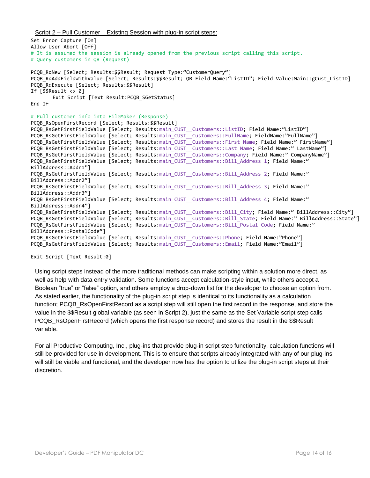Script 2 – Pull Customer Existing Session with plug-in script steps:

```
Set Error Capture [On]
Allow User Abort [Off]
# It is assumed the session is already opened from the previous script calling this script.
# Query customers in QB (Request)
PCOB RqNew [Select; Results: $$Result; Request Type:"CustomerQuery"]
PCOB RqAddFieldWithValue [Select; Results:$$Result; OB Field Name:"ListID"; Field Value:Main::gCust ListID]
PCQB_RqExecute [Select; Results:$$Result]
If [$$Result <> 0]
       Exit Script [Text Result:PCQB SGetStatus]
End If
# Pull customer info into FileMaker (Response)
PCQB_RsOpenFirstRecord [Select; Results:$$Result]
PCQB_RsGetFirstFieldValue [Select; Results:main_CUST__Customers::ListID; Field Name:"ListID"]
PCQB_RsGetFirstFieldValue [Select; Results:main_CUST__Customers::FullName; FieldName:"FullName"]
PCQB RsGetFirstFieldValue [Select; Results:main CUST Customers::First Name; Field Name:" FirstName"]
PCQB RsGetFirstFieldValue [Select; Results:main CUST Customers::Last Name; Field Name:" LastName"]
PCQB RsGetFirstFieldValue [Select; Results:main CUST Customers::Company; Field Name:" CompanyName"]
PCQB RsGetFirstFieldValue [Select; Results:main CUST Customers::Bill Address 1; Field Name:"
BillAddress::Addr1"]
PCQB RsGetFirstFieldValue [Select; Results:main CUST Customers::Bill Address 2; Field Name:"
BillAddress::Addr2"]
PCQB RsGetFirstFieldValue [Select; Results:main CUST Customers::Bill Address 3; Field Name:"
BillAddress::Addr3"]
PCOB RsGetFirstFieldValue [Select; Results:main CUST Customers::Bill Address 4; Field Name:"
BillAddress::Addr4"]
PCQB RsGetFirstFieldValue [Select; Results:main CUST Customers::Bill City; Field Name:" BillAddress::City"]
PCQB RsGetFirstFieldValue [Select; Results:main CUST Customers::Bill State; Field Name:" BillAddress::State"]
PCQB_RsGetFirstFieldValue [Select; Results:main_CUST__Customers::Bill_Postal Code; Field Name:"
BillAddress::PostalCode"]
PCQB RsGetFirstFieldValue [Select; Results:main CUST Customers::Phone; Field Name:"Phone"]
PCQB RsGetFirstFieldValue [Select; Results:main CUST Customers::Email; Field Name:"Email"]
```
Exit Script [Text Result:0]

Using script steps instead of the more traditional methods can make scripting within a solution more direct, as well as help with data entry validation. Some functions accept calculation-style input, while others accept a Boolean "true" or "false" option, and others employ a drop-down list for the developer to choose an option from. As stated earlier, the functionality of the plug-in script step is identical to its functionality as a calculation function; PCQB RsOpenFirstRecord as a script step will still open the first record in the response, and store the value in the \$\$Result global variable (as seen in Script 2), just the same as the Set Variable script step calls PCQB\_RsOpenFirstRecord (which opens the first response record) and stores the result in the \$\$Result variable.

For all Productive Computing, Inc., plug-ins that provide plug-in script step functionality, calculation functions will still be provided for use in development. This is to ensure that scripts already integrated with any of our plug-ins will still be viable and functional, and the developer now has the option to utilize the plug-in script steps at their discretion.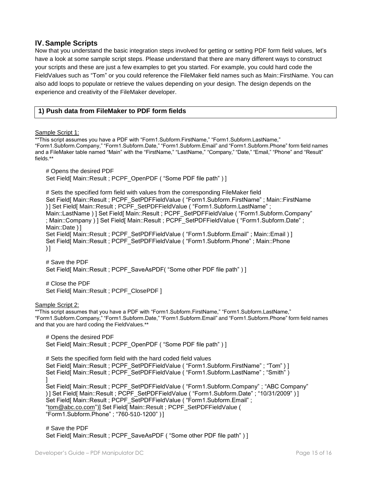# <span id="page-14-0"></span>**IV.Sample Scripts**

Now that you understand the basic integration steps involved for getting or setting PDF form field values, let's have a look at some sample script steps. Please understand that there are many different ways to construct your scripts and these are just a few examples to get you started. For example, you could hard code the FieldValues such as "Tom" or you could reference the FileMaker field names such as Main::FirstName. You can also add loops to populate or retrieve the values depending on your design. The design depends on the experience and creativity of the FileMaker developer.

# <span id="page-14-1"></span>**1) Push data from FileMaker to PDF form fields**

Sample Script 1:

\*\*This script assumes you have a PDF with "Form1.Subform.FirstName," "Form1.Subform.LastName," "Form1.Subform.Company," "Form1.Subform.Date," "Form1.Subform.Email" and "Form1.Subform.Phone" form field names and a FileMaker table named "Main" with the "FirstName," "LastName," "Company," "Date," "Email," "Phone" and "Result" fields \*\*

# Opens the desired PDF Set Field[ Main::Result ; PCPF\_OpenPDF ( "Some PDF file path" ) ]

# Sets the specified form field with values from the corresponding FileMaker field Set Field[ Main::Result ; PCPF\_SetPDFFieldValue ( "Form1.Subform.FirstName" ; Main::FirstName ) ] Set Field[ Main::Result ; PCPF\_SetPDFFieldValue ( "Form1.Subform.LastName" ; Main::LastName ) ] Set Field[ Main::Result ; PCPF\_SetPDFFieldValue ( "Form1.Subform.Company" ; Main::Company ) ] Set Field[ Main::Result ; PCPF\_SetPDFFieldValue ( "Form1.Subform.Date" ; Main::Date ) ] Set Field[ Main::Result ; PCPF\_SetPDFFieldValue ( "Form1.Subform.Email" ; Main::Email ) ] Set Field[ Main::Result ; PCPF\_SetPDFFieldValue ( "Form1.Subform.Phone" ; Main::Phone  $\overline{\phantom{a}}$ 

# Save the PDF Set Field[ Main::Result ; PCPF\_SaveAsPDF( "Some other PDF file path" ) ]

# Close the PDF Set Field[ Main::Result ; PCPF\_ClosePDF ]

Sample Script 2:

\*\*This script assumes that you have a PDF with "Form1.Subform.FirstName," "Form1.Subform.LastName," "Form1.Subform.Company," "Form1.Subform.Date," "Form1.Subform.Email" and "Form1.Subform.Phone" form field names and that you are hard coding the FieldValues.\*\*

# Opens the desired PDF Set Field[ Main::Result ; PCPF\_OpenPDF ( "Some PDF file path" ) ]

# Sets the specified form field with the hard coded field values Set Field[ Main::Result ; PCPF\_SetPDFFieldValue ( "Form1.Subform.FirstName" ; "Tom" ) ] Set Field[ Main::Result ; PCPF\_SetPDFFieldValue ( "Form1.Subform.LastName" : "Smith" ) ] Set Field[ Main::Result ; PCPF\_SetPDFFieldValue ( "Form1.Subform.Company" ; "ABC Company" ) ] Set Field[ Main::Result ; PCPF\_SetPDFFieldValue ( "Form1.Subform.Date" ; "10/31/2009" ) ] Set Field[ Main::Result ; PCPF\_SetPDFFieldValue ( "Form1.Subform.Email" ; ["tom@abc.co.com"](mailto:tom@abc.co.com))] Set Field[ Main::Result ; PCPF\_SetPDFFieldValue ( "Form1.Subform.Phone" ; "760-510-1200" ) ]

# Save the PDF Set Field[ Main::Result ; PCPF\_SaveAsPDF ( "Some other PDF file path" ) ]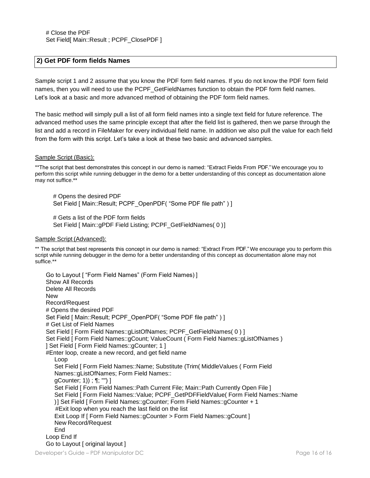#### <span id="page-15-0"></span>**2) Get PDF form fields Names**

Sample script 1 and 2 assume that you know the PDF form field names. If you do not know the PDF form field names, then you will need to use the PCPF\_GetFieldNames function to obtain the PDF form field names. Let's look at a basic and more advanced method of obtaining the PDF form field names.

The basic method will simply pull a list of all form field names into a single text field for future reference. The advanced method uses the same principle except that after the field list is gathered, then we parse through the list and add a record in FileMaker for every individual field name. In addition we also pull the value for each field from the form with this script. Let's take a look at these two basic and advanced samples.

#### Sample Script (Basic):

\*\*The script that best demonstrates this concept in our demo is named: "Extract Fields From PDF." We encourage you to perform this script while running debugger in the demo for a better understanding of this concept as documentation alone may not suffice.\*\*

# Opens the desired PDF Set Field [ Main::Result; PCPF\_OpenPDF( "Some PDF file path" ) ]

# Gets a list of the PDF form fields Set Field [ Main:: qPDF Field Listing; PCPF GetFieldNames( 0 )]

#### Sample Script (Advanced):

\*\* The script that best represents this concept in our demo is named: "Extract From PDF." We encourage you to perform this script while running debugger in the demo for a better understanding of this concept as documentation alone may not suffice.\*\*

Go to Layout [ "Form Field Names" (Form Field Names) ] Show All Records Delete All Records **New** Record/Request # Opens the desired PDF Set Field [ Main::Result; PCPF\_OpenPDF( "Some PDF file path" ) ] # Get List of Field Names Set Field [ Form Field Names::gListOfNames; PCPF\_GetFieldNames( 0 ) ] Set Field [ Form Field Names::gCount; ValueCount ( Form Field Names::gListOfNames ) ] Set Field [ Form Field Names::gCounter; 1 ] #Enter loop, create a new record, and get field name Loop Set Field [ Form Field Names::Name; Substitute (Trim( MiddleValues ( Form Field Names::gListOfNames; Form Field Names:: gCounter; 1)) ; ¶; "") ] Set Field [ Form Field Names::Path Current File; Main::Path Currently Open File ] Set Field [ Form Field Names::Value; PCPF\_GetPDFFieldValue( Form Field Names::Name )] Set Field [ Form Field Names::gCounter; Form Field Names::gCounter + 1 #Exit loop when you reach the last field on the list Exit Loop If [ Form Field Names:: gCounter > Form Field Names:: gCount ] New Record/Request End Loop End If Go to Layout [ original layout ]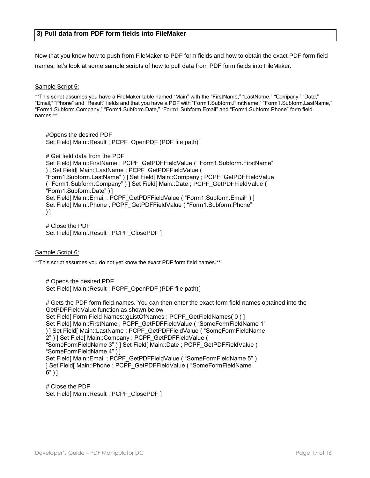<span id="page-16-0"></span>Now that you know how to push from FileMaker to PDF form fields and how to obtain the exact PDF form field names, let's look at some sample scripts of how to pull data from PDF form fields into FileMaker.

Sample Script 5:

\*\*This script assumes you have a FileMaker table named "Main" with the "FirstName," "LastName," "Company," "Date," "Email," "Phone" and "Result" fields and that you have a PDF with "Form1.Subform.FirstName," "Form1.Subform.LastName," "Form1.Subform.Company," "Form1.Subform.Date," "Form1.Subform.Email" and "Form1.Subform.Phone" form field names.\*\*

#Opens the desired PDF Set Field[ Main::Result ; PCPF\_OpenPDF (PDF file path)]

# Get field data from the PDF Set Field[ Main::FirstName ; PCPF\_GetPDFFieldValue ( "Form1.Subform.FirstName" ) ] Set Field[ Main::LastName ; PCPF\_GetPDFFieldValue ( "Form1.Subform.LastName" ) ] Set Field[ Main::Company ; PCPF\_GetPDFFieldValue ( "Form1.Subform.Company" ) ] Set Field[ Main::Date ; PCPF\_GetPDFFieldValue ( "Form1.Subform.Date" ) ] Set Field[ Main::Email ; PCPF\_GetPDFFieldValue ( "Form1.Subform.Email" ) ] Set Field[ Main::Phone ; PCPF\_GetPDFFieldValue ( "Form1.Subform.Phone"  $)$ ]

# Close the PDF Set Field[ Main::Result ; PCPF\_ClosePDF ]

Sample Script 6:

\*\*This script assumes you do not yet know the exact PDF form field names.\*\*

# Opens the desired PDF Set Field[ Main::Result ; PCPF\_OpenPDF (PDF file path)]

# Gets the PDF form field names. You can then enter the exact form field names obtained into the GetPDFFieldValue function as shown below Set Field[ Form Field Names::gListOfNames ; PCPF\_GetFieldNames( 0 ) ] Set Field[ Main::FirstName ; PCPF\_GetPDFFieldValue ( "SomeFormFieldName 1" ) ] Set Field[ Main::LastName ; PCPF\_GetPDFFieldValue ( "SomeFormFieldName 2" ) ] Set Field[ Main::Company ; PCPF\_GetPDFFieldValue ( "SomeFormFieldName 3" ) ] Set Field[ Main::Date ; PCPF\_GetPDFFieldValue ( "SomeFormFieldName 4" ) ] Set Field[ Main::Email ; PCPF\_GetPDFFieldValue ( "SomeFormFieldName 5" ) ] Set Field[ Main::Phone ; PCPF\_GetPDFFieldValue ( "SomeFormFieldName 6" ) ]

# Close the PDF Set Field[ Main::Result ; PCPF\_ClosePDF ]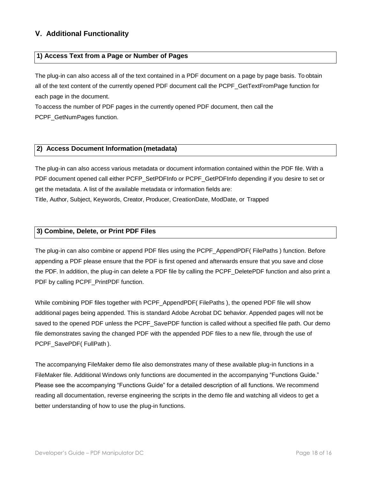# <span id="page-17-0"></span>**V. Additional Functionality**

#### <span id="page-17-1"></span>**1) Access Text from a Page or Number of Pages**

The plug-in can also access all of the text contained in a PDF document on a page by page basis. To obtain all of the text content of the currently opened PDF document call the PCPF\_GetTextFromPage function for each page in the document.

To access the number of PDF pages in the currently opened PDF document, then call the PCPF\_GetNumPages function.

#### <span id="page-17-2"></span>**2) Access Document Information (metadata)**

The plug-in can also access various metadata or document information contained within the PDF file. With a PDF document opened call either PCFP\_SetPDFInfo or PCPF\_GetPDFInfo depending if you desire to set or get the metadata. A list of the available metadata or information fields are: Title, Author, Subject, Keywords, Creator, Producer, CreationDate, ModDate, or Trapped

#### <span id="page-17-3"></span>**3) Combine, Delete, or Print PDF Files**

The plug-in can also combine or append PDF files using the PCPF\_AppendPDF( FilePaths ) function. Before appending a PDF please ensure that the PDF is first opened and afterwards ensure that you save and close the PDF. In addition, the plug-in can delete a PDF file by calling the PCPF\_DeletePDF function and also print a PDF by calling PCPF\_PrintPDF function.

While combining PDF files together with PCPF\_AppendPDF( FilePaths ), the opened PDF file will show additional pages being appended. This is standard Adobe Acrobat DC behavior. Appended pages will not be saved to the opened PDF unless the PCPF\_SavePDF function is called without a specified file path. Our demo file demonstrates saving the changed PDF with the appended PDF files to a new file, through the use of PCPF\_SavePDF( FullPath ).

The accompanying FileMaker demo file also demonstrates many of these available plug-in functions in a FileMaker file. Additional Windows only functions are documented in the accompanying "Functions Guide." Please see the accompanying "Functions Guide" for a detailed description of all functions. We recommend reading all documentation, reverse engineering the scripts in the demo file and watching all videos to get a better understanding of how to use the plug-in functions.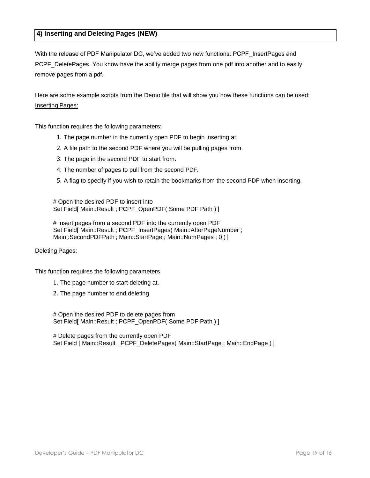# <span id="page-18-0"></span>**4) Inserting and Deleting Pages (NEW)**

With the release of PDF Manipulator DC, we've added two new functions: PCPF InsertPages and PCPF\_DeletePages. You know have the ability merge pages from one pdf into another and to easily remove pages from a pdf.

Here are some example scripts from the Demo file that will show you how these functions can be used: Inserting Pages:

This function requires the following parameters:

- 1. The page number in the currently open PDF to begin inserting at.
- 2. A file path to the second PDF where you will be pulling pages from.
- 3. The page in the second PDF to start from.
- 4. The number of pages to pull from the second PDF.
- 5. A flag to specify if you wish to retain the bookmarks from the second PDF when inserting.

# Open the desired PDF to insert into Set Field[ Main::Result ; PCPF\_OpenPDF( Some PDF Path ) ]

# Insert pages from a second PDF into the currently open PDF Set Field[ Main::Result ; PCPF\_InsertPages( Main::AfterPageNumber ; Main::SecondPDFPath; Main::StartPage; Main::NumPages; 0)]

#### Deleting Pages:

This function requires the following parameters

- 1. The page number to start deleting at.
- 2. The page number to end deleting

# Open the desired PDF to delete pages from Set Field[ Main::Result ; PCPF\_OpenPDF( Some PDF Path ) ]

# Delete pages from the currently open PDF Set Field [ Main::Result : PCPF\_DeletePages( Main::StartPage ; Main::EndPage ) ]